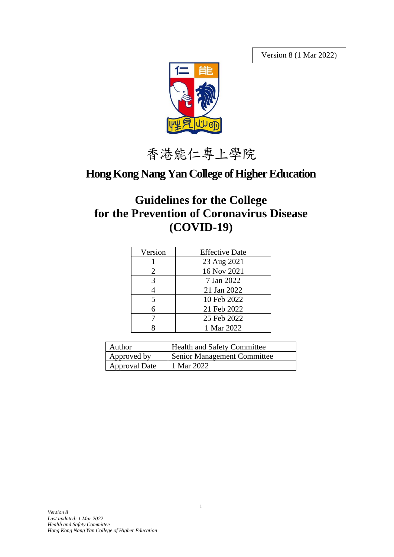Version 8 (1 Mar 2022)



香港能仁專上學院

# **Hong Kong Nang Yan College of Higher Education**

# **Guidelines for the College for the Prevention of Coronavirus Disease (COVID-19)**

| Version | <b>Effective Date</b> |
|---------|-----------------------|
|         | 23 Aug 2021           |
| 2       | 16 Nov 2021           |
| 3       | 7 Jan 2022            |
|         | 21 Jan 2022           |
| 5       | 10 Feb 2022           |
| 6       | 21 Feb 2022           |
|         | 25 Feb 2022           |
|         | 1 Mar 2022            |

| Author        | <b>Health and Safety Committee</b> |  |
|---------------|------------------------------------|--|
| Approved by   | <b>Senior Management Committee</b> |  |
| Approval Date | 1 Mar 2022                         |  |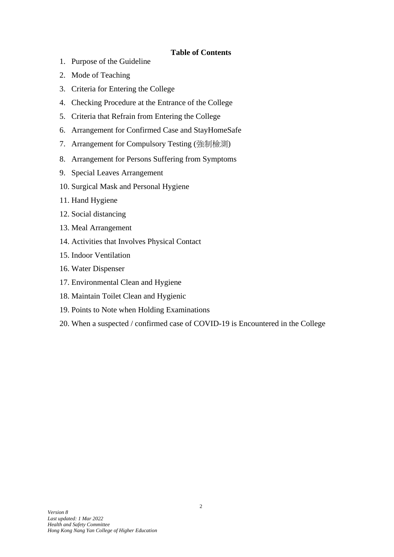#### **Table of Contents**

- 1. Purpose of the Guideline
- 2. Mode of Teaching
- 3. Criteria for Entering the College
- 4. Checking Procedure at the Entrance of the College
- 5. Criteria that Refrain from Entering the College
- 6. Arrangement for Confirmed Case and StayHomeSafe
- 7. Arrangement for Compulsory Testing (強制檢測)
- 8. Arrangement for Persons Suffering from Symptoms
- 9. Special Leaves Arrangement
- 10. Surgical Mask and Personal Hygiene
- 11. Hand Hygiene
- 12. Social distancing
- 13. Meal Arrangement
- 14. Activities that Involves Physical Contact
- 15. Indoor Ventilation
- 16. Water Dispenser
- 17. Environmental Clean and Hygiene
- 18. Maintain Toilet Clean and Hygienic
- 19. Points to Note when Holding Examinations
- 20. When a suspected / confirmed case of COVID-19 is Encountered in the College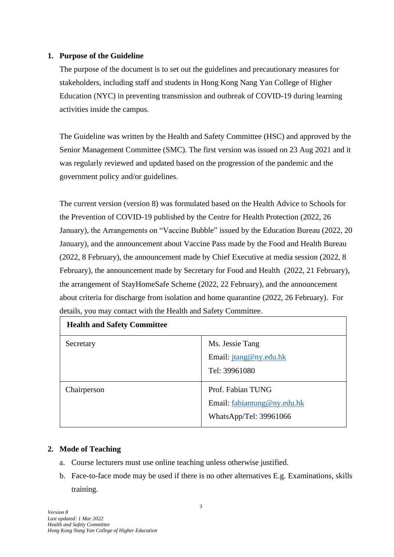#### **1. Purpose of the Guideline**

The purpose of the document is to set out the guidelines and precautionary measures for stakeholders, including staff and students in Hong Kong Nang Yan College of Higher Education (NYC) in preventing transmission and outbreak of COVID-19 during learning activities inside the campus.

The Guideline was written by the Health and Safety Committee (HSC) and approved by the Senior Management Committee (SMC). The first version was issued on 23 Aug 2021 and it was regularly reviewed and updated based on the progression of the pandemic and the government policy and/or guidelines.

The current version (version 8) was formulated based on the Health Advice to Schools for the Prevention of COVID-19 published by the Centre for Health Protection (2022, 26 January), the Arrangements on "Vaccine Bubble" issued by the Education Bureau (2022, 20 January), and the announcement about Vaccine Pass made by the Food and Health Bureau (2022, 8 February), the announcement made by Chief Executive at media session (2022, 8 February), the announcement made by Secretary for Food and Health (2022, 21 February), the arrangement of StayHomeSafe Scheme (2022, 22 February), and the announcement about criteria for discharge from isolation and home quarantine (2022, 26 February). For details, you may contact with the Health and Safety Committee.

| <b>Health and Safety Committee</b> |                             |  |
|------------------------------------|-----------------------------|--|
| Secretary                          | Ms. Jessie Tang             |  |
|                                    | Email: jtang@ny.edu.hk      |  |
|                                    | Tel: 39961080               |  |
| Chairperson                        | Prof. Fabian TUNG           |  |
|                                    | Email: fabiantung@ny.edu.hk |  |
|                                    | WhatsApp/Tel: 39961066      |  |
|                                    |                             |  |

#### **2. Mode of Teaching**

- a. Course lecturers must use online teaching unless otherwise justified.
- b. Face-to-face mode may be used if there is no other alternatives E.g. Examinations, skills training.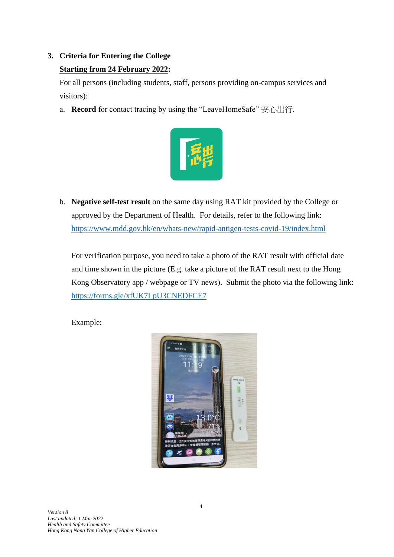# **3. Criteria for Entering the College**

# **Starting from 24 February 2022:**

For all persons (including students, staff, persons providing on-campus services and visitors):

a. **Record** for contact tracing by using the "LeaveHomeSafe" 安心出行.



b. **Negative self-test result** on the same day using RAT kit provided by the College or approved by the Department of Health. For details, refer to the following link: <https://www.mdd.gov.hk/en/whats-new/rapid-antigen-tests-covid-19/index.html>

For verification purpose, you need to take a photo of the RAT result with official date and time shown in the picture (E.g. take a picture of the RAT result next to the Hong Kong Observatory app / webpage or TV news). Submit the photo via the following link: <https://forms.gle/xfUK7LpU3CNEDFCE7>

Example:

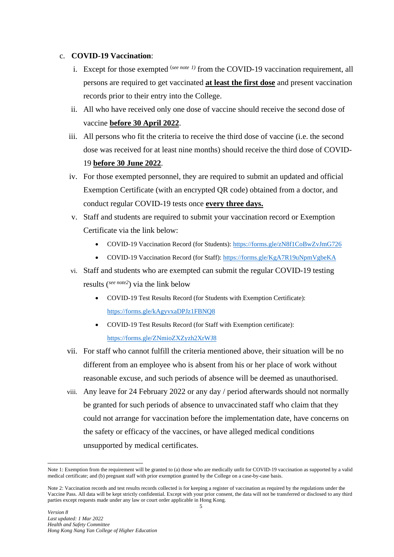#### c. **COVID-19 Vaccination**:

- i. Except for those exempted <sup>(see note 1)</sup> from the COVID-19 vaccination requirement, all persons are required to get vaccinated **at least the first dose** and present vaccination records prior to their entry into the College.
- ii. All who have received only one dose of vaccine should receive the second dose of vaccine **before 30 April 2022**.
- iii. All persons who fit the criteria to receive the third dose of vaccine (i.e. the second dose was received for at least nine months) should receive the third dose of COVID-19 **before 30 June 2022**.
- iv. For those exempted personnel, they are required to submit an updated and official Exemption Certificate (with an encrypted QR code) obtained from a doctor, and conduct regular COVID-19 tests once **every three days.**
- v. Staff and students are required to submit your vaccination record or Exemption Certificate via the link below:
	- COVID-19 Vaccination Record (for Students):<https://forms.gle/zN8f1CoBwZvJmG726>
	- COVID-19 Vaccination Record (for Staff):<https://forms.gle/KgA7R19uNpmVgbeKA>
- vi. Staff and students who are exempted can submit the regular COVID-19 testing results (*see note2* ) via the link below
	- COVID-19 Test Results Record (for Students with Exemption Certificate): <https://forms.gle/kAgyvxaDPJz1FBNQ8>
	- COVID-19 Test Results Record (for Staff with Exemption certificate): <https://forms.gle/ZNmioZXZyzh2XrWJ8>
- vii. For staff who cannot fulfill the criteria mentioned above, their situation will be no different from an employee who is absent from his or her place of work without reasonable excuse, and such periods of absence will be deemed as unauthorised.
- viii. Any leave for 24 February 2022 or any day / period afterwards should not normally be granted for such periods of absence to unvaccinated staff who claim that they could not arrange for vaccination before the implementation date, have concerns on the safety or efficacy of the vaccines, or have alleged medical conditions unsupported by medical certificates.

Note 1: Exemption from the requirement will be granted to (a) those who are medically unfit for COVID-19 vaccination as supported by a valid medical certificate; and (b) pregnant staff with prior exemption granted by the College on a case-by-case basis.

Note 2: Vaccination records and test results records collected is for keeping a register of vaccination as required by the regulations under the Vaccine Pass. All data will be kept strictly confidential. Except with your prior consent, the data will not be transferred or disclosed to any third parties except requests made under any law or court order applicable in Hong Kong.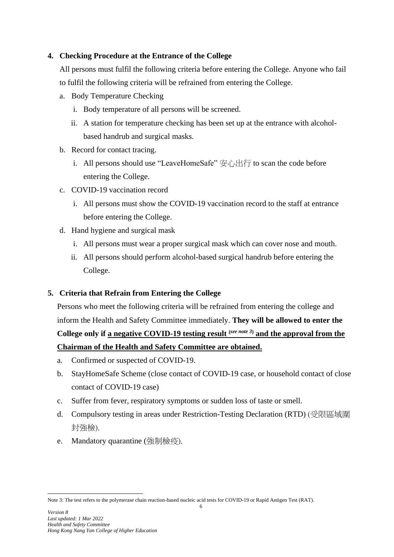## **4. Checking Procedure at the Entrance of the College**

All persons must fulfil the following criteria before entering the College. Anyone who fail to fulfil the following criteria will be refrained from entering the College.

- a. Body Temperature Checking
	- i. Body temperature of all persons will be screened.
	- ii. A station for temperature checking has been set up at the entrance with alcoholbased handrub and surgical masks.
- b. Record for contact tracing.
	- i. All persons should use "LeaveHomeSafe"  $\overline{\mathcal{H}}$  \\intimumphilian the code before entering the College.
- c. COVID-19 vaccination record
	- i. All persons must show the COVID-19 vaccination record to the staff at entrance before entering the College.
- d. Hand hygiene and surgical mask
	- i. All persons must wear a proper surgical mask which can cover nose and mouth.
	- ii. All persons should perform alcohol-based surgical handrub before entering the College.

# **5. Criteria that Refrain from Entering the College**

Persons who meet the following criteria will be refrained from entering the college and inform the Health and Safety Committee immediately. **They will be allowed to enter the College only if a negative COVID-19 testing result (***see note 3***) and the approval from the** 

# **Chairman of the Health and Safety Committee are obtained.**

- a. Confirmed or suspected of COVID-19.
- b. StayHomeSafe Scheme (close contact of COVID-19 case, or household contact of close contact of COVID-19 case)
- c. Suffer from fever, respiratory symptoms or sudden loss of taste or smell.
- d. Compulsory testing in areas under Restriction-Testing Declaration (RTD) (受限區域圍 封強檢).
- e. Mandatory quarantine (強制檢疫).

Note 3: The test refers to the polymerase chain reaction-based nucleic acid tests for COVID-19 or Rapid Antigen Test (RAT).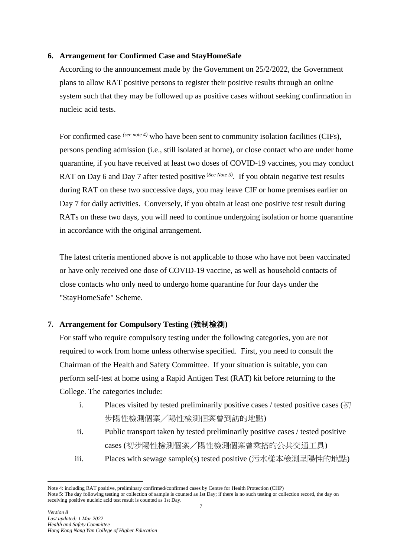#### **6. Arrangement for Confirmed Case and StayHomeSafe**

According to the announcement made by the Government on 25/2/2022, the Government plans to allow RAT positive persons to register their positive results through an online system such that they may be followed up as positive cases without seeking confirmation in nucleic acid tests.

For confirmed case *(see note 4)* who have been sent to community isolation facilities (CIFs), persons pending admission (i.e., still isolated at home), or close contact who are under home quarantine, if you have received at least two doses of COVID-19 vaccines, you may conduct RAT on Day 6 and Day 7 after tested positive <sup>(See Note 5)</sup>. If you obtain negative test results during RAT on these two successive days, you may leave CIF or home premises earlier on Day 7 for daily activities. Conversely, if you obtain at least one positive test result during RATs on these two days, you will need to continue undergoing isolation or home quarantine in accordance with the original arrangement.

The latest criteria mentioned above is not applicable to those who have not been vaccinated or have only received one dose of COVID-19 vaccine, as well as household contacts of close contacts who only need to undergo home quarantine for four days under the "StayHomeSafe" Scheme.

# **7. Arrangement for Compulsory Testing (**強制檢測**)**

For staff who require compulsory testing under the following categories, you are not required to work from home unless otherwise specified. First, you need to consult the Chairman of the Health and Safety Committee. If your situation is suitable, you can perform self-test at home using a Rapid Antigen Test (RAT) kit before returning to the College. The categories include:

- i. Places visited by tested preliminarily positive cases / tested positive cases (初 步陽性檢測個案╱陽性檢測個案曾到訪的地點)
- ii. Public transport taken by tested preliminarily positive cases / tested positive cases (初步陽性檢測個案╱陽性檢測個案曾乘搭的公共交通工具)
- iii. Places with sewage sample(s) tested positive (污水樣本檢測呈陽性的地點)

Note 4: including RAT positive, preliminary confirmed/confirmed cases by Centre for Health Protection (CHP) Note 5: The day following testing or collection of sample is counted as 1st Day; if there is no such testing or collection record, the day on receiving positive nucleic acid test result is counted as 1st Day.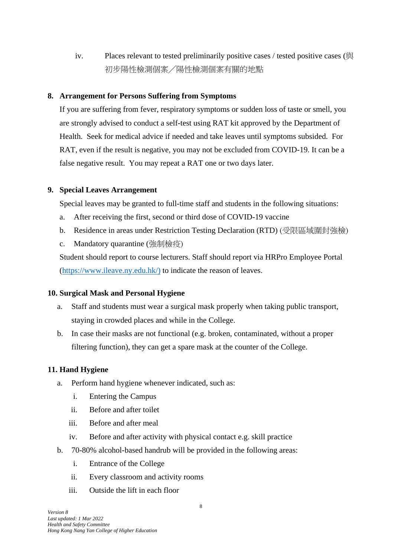iv. Places relevant to tested preliminarily positive cases / tested positive cases (與 初步陽性檢測個案╱陽性檢測個案有關的地點

### **8. Arrangement for Persons Suffering from Symptoms**

If you are suffering from fever, respiratory symptoms or sudden loss of taste or smell, you are strongly advised to conduct a self-test using RAT kit approved by the Department of Health. Seek for medical advice if needed and take leaves until symptoms subsided. For RAT, even if the result is negative, you may not be excluded from COVID-19. It can be a false negative result. You may repeat a RAT one or two days later.

## **9. Special Leaves Arrangement**

Special leaves may be granted to full-time staff and students in the following situations:

- a. After receiving the first, second or third dose of COVID-19 vaccine
- b. Residence in areas under Restriction Testing Declaration (RTD) (受限區域圍封強檢)
- c. Mandatory quarantine (強制檢疫)

Student should report to course lecturers. Staff should report via HRPro Employee Portal [\(https://www.ileave.ny.edu.hk/\)](https://www.ileave.ny.edu.hk/) to indicate the reason of leaves.

#### **10. Surgical Mask and Personal Hygiene**

- a. Staff and students must wear a surgical mask properly when taking public transport, staying in crowded places and while in the College.
- b. In case their masks are not functional (e.g. broken, contaminated, without a proper filtering function), they can get a spare mask at the counter of the College.

# **11. Hand Hygiene**

- a. Perform hand hygiene whenever indicated, such as:
	- i. Entering the Campus
	- ii. Before and after toilet
	- iii. Before and after meal
	- iv. Before and after activity with physical contact e.g. skill practice
- b. 70-80% alcohol-based handrub will be provided in the following areas:
	- i. Entrance of the College
	- ii. Every classroom and activity rooms
	- iii. Outside the lift in each floor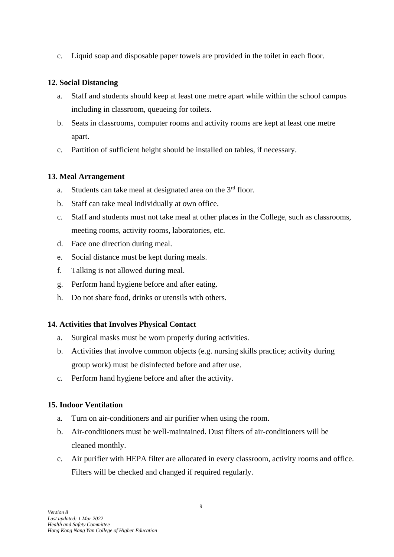c. Liquid soap and disposable paper towels are provided in the toilet in each floor.

# **12. Social Distancing**

- a. Staff and students should keep at least one metre apart while within the school campus including in classroom, queueing for toilets.
- b. Seats in classrooms, computer rooms and activity rooms are kept at least one metre apart.
- c. Partition of sufficient height should be installed on tables, if necessary.

# **13. Meal Arrangement**

- a. Students can take meal at designated area on the  $3<sup>rd</sup>$  floor.
- b. Staff can take meal individually at own office.
- c. Staff and students must not take meal at other places in the College, such as classrooms, meeting rooms, activity rooms, laboratories, etc.
- d. Face one direction during meal.
- e. Social distance must be kept during meals.
- f. Talking is not allowed during meal.
- g. Perform hand hygiene before and after eating.
- h. Do not share food, drinks or utensils with others.

# **14. Activities that Involves Physical Contact**

- a. Surgical masks must be worn properly during activities.
- b. Activities that involve common objects (e.g. nursing skills practice; activity during group work) must be disinfected before and after use.
- c. Perform hand hygiene before and after the activity.

# **15. Indoor Ventilation**

- a. Turn on air-conditioners and air purifier when using the room.
- b. Air-conditioners must be well-maintained. Dust filters of air-conditioners will be cleaned monthly.
- c. Air purifier with HEPA filter are allocated in every classroom, activity rooms and office. Filters will be checked and changed if required regularly.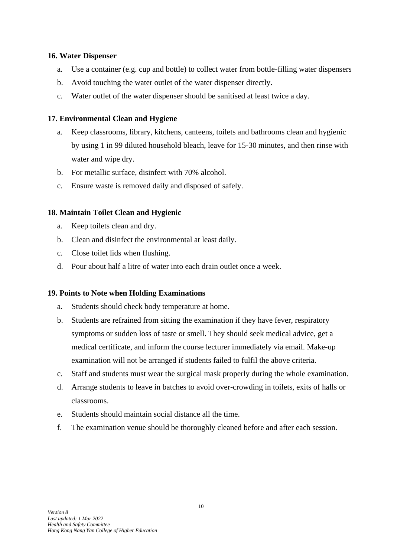#### **16. Water Dispenser**

- a. Use a container (e.g. cup and bottle) to collect water from bottle-filling water dispensers
- b. Avoid touching the water outlet of the water dispenser directly.
- c. Water outlet of the water dispenser should be sanitised at least twice a day.

#### **17. Environmental Clean and Hygiene**

- a. Keep classrooms, library, kitchens, canteens, toilets and bathrooms clean and hygienic by using 1 in 99 diluted household bleach, leave for 15-30 minutes, and then rinse with water and wipe dry.
- b. For metallic surface, disinfect with 70% alcohol.
- c. Ensure waste is removed daily and disposed of safely.

#### **18. Maintain Toilet Clean and Hygienic**

- a. Keep toilets clean and dry.
- b. Clean and disinfect the environmental at least daily.
- c. Close toilet lids when flushing.
- d. Pour about half a litre of water into each drain outlet once a week.

#### **19. Points to Note when Holding Examinations**

- a. Students should check body temperature at home.
- b. Students are refrained from sitting the examination if they have fever, respiratory symptoms or sudden loss of taste or smell. They should seek medical advice, get a medical certificate, and inform the course lecturer immediately via email. Make-up examination will not be arranged if students failed to fulfil the above criteria.
- c. Staff and students must wear the surgical mask properly during the whole examination.
- d. Arrange students to leave in batches to avoid over-crowding in toilets, exits of halls or classrooms.
- e. Students should maintain social distance all the time.
- f. The examination venue should be thoroughly cleaned before and after each session.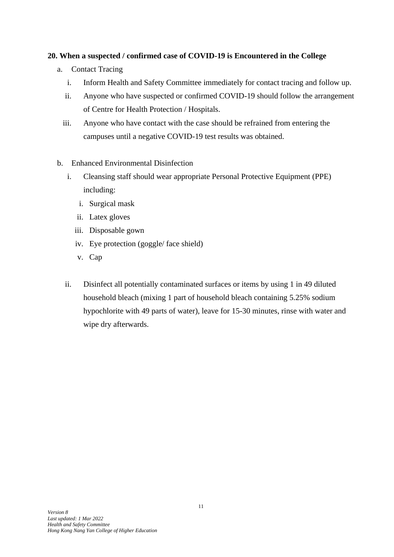## **20. When a suspected / confirmed case of COVID-19 is Encountered in the College**

- a. Contact Tracing
	- i. Inform Health and Safety Committee immediately for contact tracing and follow up.
	- ii. Anyone who have suspected or confirmed COVID-19 should follow the arrangement of Centre for Health Protection / Hospitals.
	- iii. Anyone who have contact with the case should be refrained from entering the campuses until a negative COVID-19 test results was obtained.
- b. Enhanced Environmental Disinfection
	- i. Cleansing staff should wear appropriate Personal Protective Equipment (PPE) including:
		- i. Surgical mask
		- ii. Latex gloves
		- iii. Disposable gown
		- iv. Eye protection (goggle/ face shield)
		- v. Cap
	- ii. Disinfect all potentially contaminated surfaces or items by using 1 in 49 diluted household bleach (mixing 1 part of household bleach containing 5.25% sodium hypochlorite with 49 parts of water), leave for 15-30 minutes, rinse with water and wipe dry afterwards.